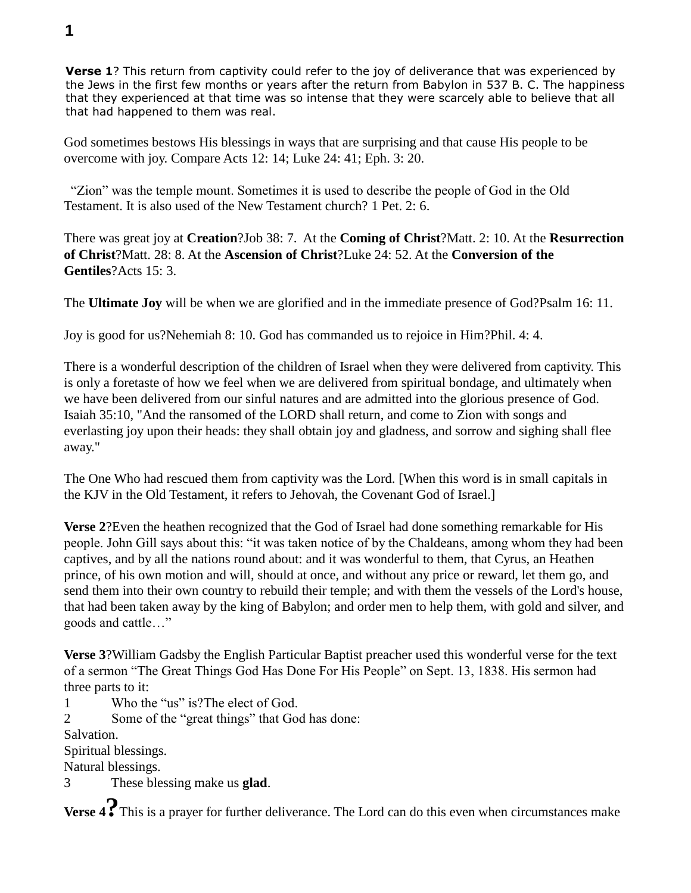**Verse 1**? This return from captivity could refer to the joy of deliverance that was experienced by the Jews in the first few months or years after the return from Babylon in 537 B. C. The happiness that they experienced at that time was so intense that they were scarcely able to believe that all that had happened to them was real.

God sometimes bestows His blessings in ways that are surprising and that cause His people to be overcome with joy. Compare Acts 12: 14; Luke 24: 41; Eph. 3: 20.

 "Zion" was the temple mount. Sometimes it is used to describe the people of God in the Old Testament. It is also used of the New Testament church? 1 Pet. 2: 6.

There was great joy at **Creation**?Job 38: 7. At the **Coming of Christ**?Matt. 2: 10. At the **Resurrection of Christ**?Matt. 28: 8. At the **Ascension of Christ**?Luke 24: 52. At the **Conversion of the Gentiles**?Acts 15: 3.

The **Ultimate Joy** will be when we are glorified and in the immediate presence of God?Psalm 16: 11.

Joy is good for us?Nehemiah 8: 10. God has commanded us to rejoice in Him?Phil. 4: 4.

There is a wonderful description of the children of Israel when they were delivered from captivity. This is only a foretaste of how we feel when we are delivered from spiritual bondage, and ultimately when we have been delivered from our sinful natures and are admitted into the glorious presence of God. Isaiah 35:10, "And the ransomed of the LORD shall return, and come to Zion with songs and everlasting joy upon their heads: they shall obtain joy and gladness, and sorrow and sighing shall flee away."

The One Who had rescued them from captivity was the Lord. [When this word is in small capitals in the KJV in the Old Testament, it refers to Jehovah, the Covenant God of Israel.]

**Verse 2**?Even the heathen recognized that the God of Israel had done something remarkable for His people. John Gill says about this: "it was taken notice of by the Chaldeans, among whom they had been captives, and by all the nations round about: and it was wonderful to them, that Cyrus, an Heathen prince, of his own motion and will, should at once, and without any price or reward, let them go, and send them into their own country to rebuild their temple; and with them the vessels of the Lord's house, that had been taken away by the king of Babylon; and order men to help them, with gold and silver, and goods and cattle…"

**Verse 3**?William Gadsby the English Particular Baptist preacher used this wonderful verse for the text of a sermon "The Great Things God Has Done For His People" on Sept. 13, 1838. His sermon had three parts to it:

1 Who the "us" is?The elect of God.

2 Some of the "great things" that God has done:

Salvation.

Spiritual blessings.

Natural blessings.

3 These blessing make us **glad**.

**Verse 4?**This is a prayer for further deliverance. The Lord can do this even when circumstances make